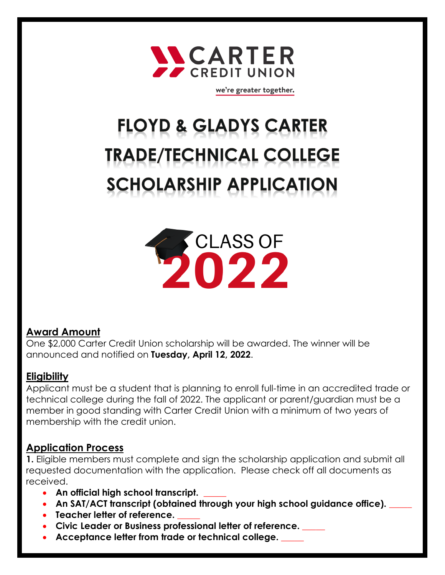

we're greater together.

# **FLOYD & GLADYS CARTER TRADE/TECHNICAL COLLEGE SCHOLARSHIP APPLICATION**



### **Award Amount**

One \$2,000 Carter Credit Union scholarship will be awarded. The winner will be announced and notified on **Tuesday, April 12, 2022**.

#### **Eligibility**

Applicant must be a student that is planning to enroll full-time in an accredited trade or technical college during the fall of 2022. The applicant or parent/guardian must be a member in good standing with Carter Credit Union with a minimum of two years of membership with the credit union.

#### **Application Process**

**1.** Eligible members must complete and sign the scholarship application and submit all requested documentation with the application. Please check off all documents as received.

- An official high school transcript.
- An SAT/ACT transcript (obtained through your high school guidance office).
- **Teacher letter of reference.**
- **Civic Leader or Business professional letter of reference. \_\_\_\_\_**
- Acceptance letter from trade or technical college.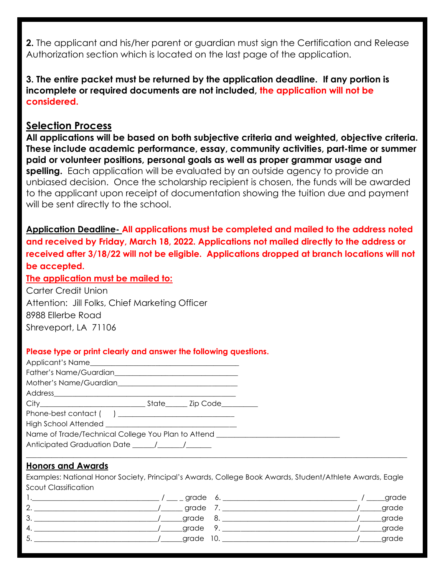**2.** The applicant and his/her parent or guardian must sign the Certification and Release Authorization section which is located on the last page of the application.

#### **3. The entire packet must be returned by the application deadline. If any portion is incomplete or required documents are not included, the application will not be considered.**

#### **Selection Process**

**All applications will be based on both subjective criteria and weighted, objective criteria. These include academic performance, essay, community activities, part-time or summer paid or volunteer positions, personal goals as well as proper grammar usage and spelling.** Each application will be evaluated by an outside agency to provide an unbiased decision. Once the scholarship recipient is chosen, the funds will be awarded to the applicant upon receipt of documentation showing the tuition due and payment will be sent directly to the school.

**Application Deadline- All applications must be completed and mailed to the address noted and received by Friday, March 18, 2022. Applications not mailed directly to the address or received after 3/18/22 will not be eligible. Applications dropped at branch locations will not be accepted.** 

#### **The application must be mailed to:**

Carter Credit Union Attention: Jill Folks, Chief Marketing Officer 8988 Ellerbe Road Shreveport, LA 71106

#### **Please type or print clearly and answer the following questions.**

| Phone-best contact () _____________________________                              |  |  |  |
|----------------------------------------------------------------------------------|--|--|--|
|                                                                                  |  |  |  |
| Name of Trade/Technical College You Plan to Attend _____________________________ |  |  |  |
|                                                                                  |  |  |  |
|                                                                                  |  |  |  |

#### **Honors and Awards**

Examples: National Honor Society, Principal's Awards, College Book Awards, Student/Athlete Awards, Eagle Scout Classification

|                | grade     | $\sim$ | grade |
|----------------|-----------|--------|-------|
| $\Omega$<br>e, | grade     |        | grade |
| 3              | grade     |        | grade |
| $\overline{4}$ | grade     |        | grade |
| 5              | grade 10. |        | grade |
|                |           |        |       |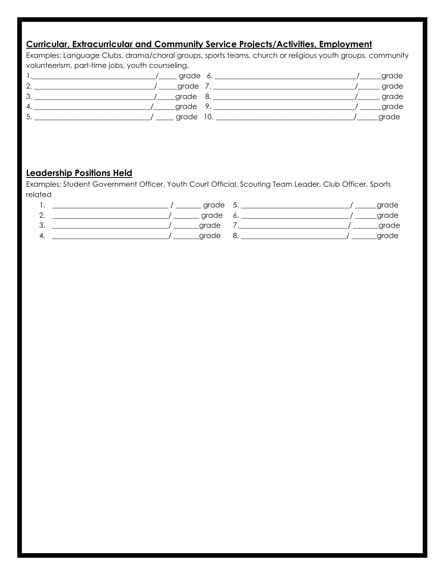#### **Curricular, Extracurricular and Community Service Projects/Activities, Employment**

Examples: Language Clubs, drama/choral groups, sports teams, church or religious youth groups, community volunteerism, part-time jobs, youth counseling.

|               | grade     | 6. |  | grade |
|---------------|-----------|----|--|-------|
|               | _grade    |    |  | grade |
| $\sim$<br>ັບ. | grade 8.  |    |  | grade |
| 4             | grade 9   |    |  | grade |
| ັ.            | grade 10. |    |  | grade |

#### **Leadership Positions Held**

Examples: Student Government Officer, Youth Court Official, Scouting Team Leader, Club Officer, Sports related

| . . | grade | 5. | grade |
|-----|-------|----|-------|
| 2.  | grade |    | grade |
| 3.  | grade |    | grade |
| 4.  | grade |    | grade |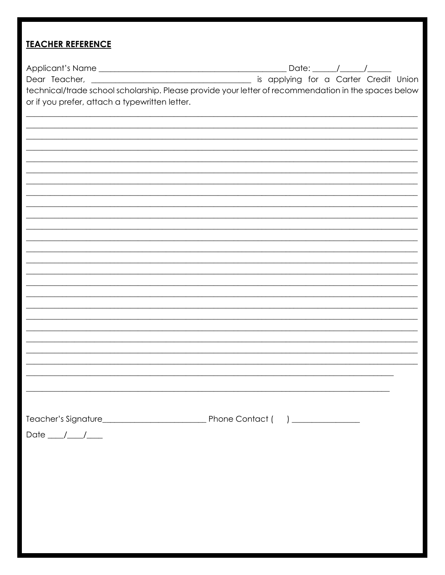# **TEACHER REFERENCE**

| or if you prefer, attach a typewritten letter. | technical/trade school scholarship. Please provide your letter of recommendation in the spaces below |
|------------------------------------------------|------------------------------------------------------------------------------------------------------|
|                                                |                                                                                                      |
|                                                |                                                                                                      |
|                                                |                                                                                                      |
|                                                |                                                                                                      |
|                                                |                                                                                                      |
|                                                |                                                                                                      |
|                                                |                                                                                                      |
| Date $\frac{1}{\sqrt{2}}$                      |                                                                                                      |
|                                                |                                                                                                      |
|                                                |                                                                                                      |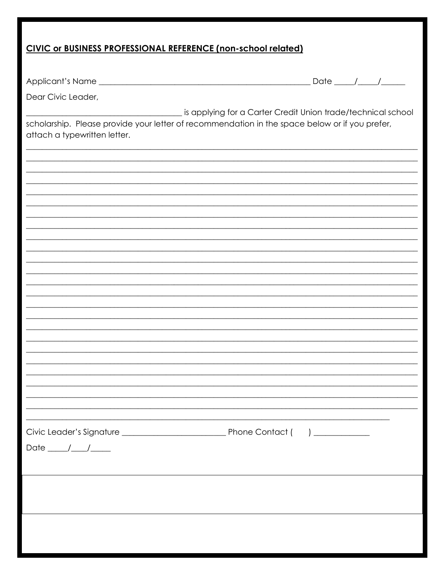## CIVIC or BUSINESS PROFESSIONAL REFERENCE (non-school related)

| Dear Civic Leader,                                                                                                             |                                                              |
|--------------------------------------------------------------------------------------------------------------------------------|--------------------------------------------------------------|
|                                                                                                                                | is applying for a Carter Credit Union trade/technical school |
| scholarship. Please provide your letter of recommendation in the space below or if you prefer,<br>attach a typewritten letter. |                                                              |
|                                                                                                                                |                                                              |
|                                                                                                                                |                                                              |
|                                                                                                                                |                                                              |
|                                                                                                                                |                                                              |
|                                                                                                                                |                                                              |
|                                                                                                                                |                                                              |
|                                                                                                                                |                                                              |
|                                                                                                                                |                                                              |
|                                                                                                                                |                                                              |
|                                                                                                                                |                                                              |
|                                                                                                                                |                                                              |
|                                                                                                                                |                                                              |
|                                                                                                                                |                                                              |
|                                                                                                                                |                                                              |
|                                                                                                                                |                                                              |
|                                                                                                                                |                                                              |
|                                                                                                                                |                                                              |
|                                                                                                                                |                                                              |
| Date $\frac{1}{\sqrt{1-\frac{1}{2}}}$                                                                                          |                                                              |
|                                                                                                                                |                                                              |
|                                                                                                                                |                                                              |
|                                                                                                                                |                                                              |
|                                                                                                                                |                                                              |